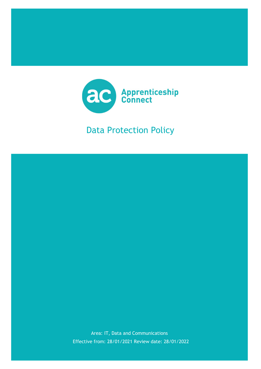

## Data Protection Policy

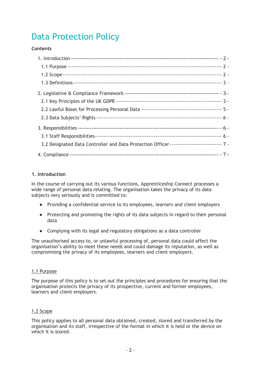# Data Protection Policy

## **Contents**

| 3.2 Designated Data Controller and Data Protection Officer ----------------------------- 7 - |  |
|----------------------------------------------------------------------------------------------|--|
|                                                                                              |  |

## 1. Introduction

In the course of carrying out its various functions, Apprenticeship Connect processes a wide range of personal data relating. The organisation takes the privacy of its data subjects very seriously and is committed to:

- Providing a confidential service to its employees, learners and client employers
- Protecting and promoting the rights of its data subjects in regard to their personal data
- Complying with its legal and regulatory obligations as a data controller

The unauthorised access to, or unlawful processing of, personal data could affect the organisation's ability to meet these needs and could damage its reputation, as well as compromising the privacy of its employees, learners and client employers.

## 1.1 Purpose

The purpose of this policy is to set out the principles and procedures for ensuring that the organisation protects the privacy of its prospective, current and former employees, learners and client employers.

## 1.2 Scope

This policy applies to all personal data obtained, created, stored and transferred by the organisation and its staff, irrespective of the format in which it is held or the device on which it is stored.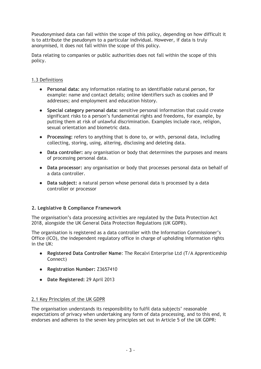Pseudonymised data can fall within the scope of this policy, depending on how difficult it is to attribute the pseudonym to a particular individual. However, if data is truly anonymised, it does not fall within the scope of this policy.

Data relating to companies or public authorities does not fall within the scope of this policy.

## 1.3 Definitions

- Personal data: any information relating to an identifiable natural person, for example: name and contact details; online identifiers such as cookies and IP addresses; and employment and education history.
- Special category personal data: sensitive personal information that could create significant risks to a person's fundamental rights and freedoms, for example, by putting them at risk of unlawful discrimination. Examples include race, religion, sexual orientation and biometric data.
- Processing: refers to anything that is done to, or with, personal data, including collecting, storing, using, altering, disclosing and deleting data.
- Data controller: any organisation or body that determines the purposes and means of processing personal data.
- Data processor: any organisation or body that processes personal data on behalf of a data controller.
- Data subject: a natural person whose personal data is processed by a data controller or processor

## 2. Legislative & Compliance Framework

The organisation's data processing activities are regulated by the Data Protection Act 2018, alongside the UK General Data Protection Regulations (UK GDPR).

The organisation is registered as a data controller with the Information Commissioner's Office (ICO), the independent regulatory office in charge of upholding information rights in the UK:

- Registered Data Controller Name: The Recalvi Enterprise Ltd (T/A Apprenticeship Connect)
- Registration Number: Z3657410
- Date Registered: 29 April 2013

## 2.1 Key Principles of the UK GDPR

The organisation understands its responsibility to fulfil data subjects' reasonable expectations of privacy when undertaking any form of data processing, and to this end, it endorses and adheres to the seven key principles set out in Article 5 of the UK GDPR: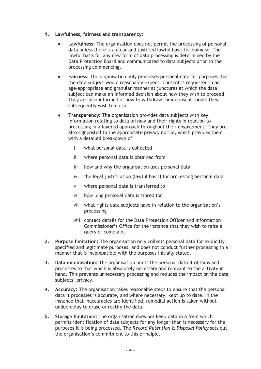- 1. Lawfulness, fairness and transparency:
	- **Lawfulness:** The organisation does not permit the processing of personal data unless there is a clear and justified lawful basis for doing so. The lawful basis for any new form of data processing is determined by the Data Protection Board and communicated to data subjects prior to the processing commencing.
	- Fairness: The organisation only processes personal data for purposes that the data subject would reasonably expect. Consent is requested in an age-appropriate and granular manner at junctures at which the data subject can make an informed decision about how they wish to proceed. They are also informed of how to withdraw their consent should they subsequently wish to do so.
	- Transparency: The organisation provides data subjects with key information relating to data privacy and their rights in relation to processing in a layered approach throughout their engagement. They are also signposted to the appropriate privacy notice, which provides them with a detailed breakdown of:
		- i what personal data is collected
		- ii where personal data is obtained from
		- iii how and why the organisation uses personal data
		- iv the legal justification (lawful basis) for processing personal data
		- v where personal data is transferred to
		- vi how long personal data is stored for
		- vii what rights data subjects have in relation to the organisation's processing
		- viii contact details for the Data Protection Officer and Information Commissioner's Office for the instance that they wish to raise a query or complaint
- 2. Purpose limitation: The organisation only collects personal data for explicitly specified and legitimate purposes, and does not conduct further processing in a manner that is incompatible with the purposes initially stated.
- 3. Data minimisation: The organisation limits the personal data it obtains and processes to that which is absolutely necessary and relevant to the activity in hand. This prevents unnecessary processing and reduces the impact on the data subjects' privacy.
- 4. Accuracy: The organisation takes reasonable steps to ensure that the personal data it processes is accurate, and where necessary, kept up to date. In the instance that inaccuracies are identified, remedial action is taken without undue delay to erase or rectify the data.
- 5. Storage limitation: The organisation does not keep data in a form which permits identification of data subjects for any longer than is necessary for the purposes it is being processed. The Record Retention & Disposal Policy sets out the organisation's commitment to this principle.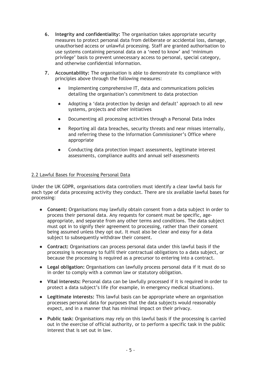- 6. Integrity and confidentiality: The organisation takes appropriate security measures to protect personal data from deliberate or accidental loss, damage, unauthorised access or unlawful processing. Staff are granted authorisation to use systems containing personal data on a 'need to know' and 'minimum privilege' basis to prevent unnecessary access to personal, special category, and otherwise confidential information.
- 7. Accountability: The organisation is able to demonstrate its compliance with principles above through the following measures:
	- Implementing comprehensive IT, data and communications policies detailing the organisation's commitment to data protection
	- Adopting a 'data protection by design and default' approach to all new systems, projects and other initiatives
	- Documenting all processing activities through a Personal Data Index
	- Reporting all data breaches, security threats and near misses internally, and referring these to the Information Commissioner's Office where appropriate
	- Conducting data protection impact assessments, legitimate interest assessments, compliance audits and annual self-assessments

#### 2.2 Lawful Bases for Processing Personal Data

Under the UK GDPR, organisations data controllers must identify a clear lawful basis for each type of data processing activity they conduct. There are six available lawful bases for processing:

- Consent: Organisations may lawfully obtain consent from a data subject in order to process their personal data. Any requests for consent must be specific, ageappropriate, and separate from any other terms and conditions. The data subject must opt in to signify their agreement to processing, rather than their consent being assumed unless they opt out. It must also be clear and easy for a data subject to subsequently withdraw their consent.
- Contract: Organisations can process personal data under this lawful basis if the processing is necessary to fulfil their contractual obligations to a data subject, or because the processing is required as a precursor to entering into a contract.
- Legal obligation: Organisations can lawfully process personal data if it must do so in order to comply with a common law or statutory obligation.
- Vital interests: Personal data can be lawfully processed if it is required in order to protect a data subject's life (for example, in emergency medical situations).
- Legitimate interests: This lawful basis can be appropriate where an organisation processes personal data for purposes that the data subjects would reasonably expect, and in a manner that has minimal impact on their privacy.
- Public task: Organisations may rely on this lawful basis if the processing is carried out in the exercise of official authority, or to perform a specific task in the public interest that is set out in law.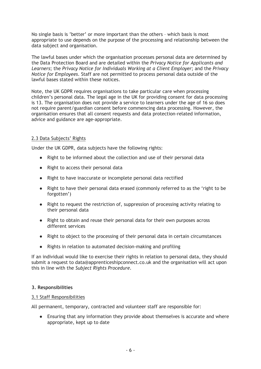No single basis is 'better' or more important than the others – which basis is most appropriate to use depends on the purpose of the processing and relationship between the data subject and organisation.

The lawful bases under which the organisation processes personal data are determined by the Data Protection Board and are detailed within the Privacy Notice for Applicants and Learners; the Privacy Notice for Individuals Working at a Client Employer; and the Privacy Notice for Employees. Staff are not permitted to process personal data outside of the lawful bases stated within these notices.

Note, the UK GDPR requires organisations to take particular care when processing children's personal data. The legal age in the UK for providing consent for data processing is 13. The organisation does not provide a service to learners under the age of 16 so does not require parent/guardian consent before commencing data processing. However, the organisation ensures that all consent requests and data protection-related information, advice and guidance are age-appropriate.

## 2.3 Data Subjects' Rights

Under the UK GDPR, data subjects have the following rights:

- Right to be informed about the collection and use of their personal data
- Right to access their personal data
- Right to have inaccurate or incomplete personal data rectified
- Right to have their personal data erased (commonly referred to as the 'right to be forgotten')
- Right to request the restriction of, suppression of processing activity relating to their personal data
- Right to obtain and reuse their personal data for their own purposes across different services
- Right to object to the processing of their personal data in certain circumstances
- Rights in relation to automated decision-making and profiling

If an individual would like to exercise their rights in relation to personal data, they should submit a request to data@apprenticeshipconnect.co.uk and the organisation will act upon this in line with the Subject Rights Procedure.

#### 3. Responsibilities

#### 3.1 Staff Responsibilities

All permanent, temporary, contracted and volunteer staff are responsible for:

● Ensuring that any information they provide about themselves is accurate and where appropriate, kept up to date